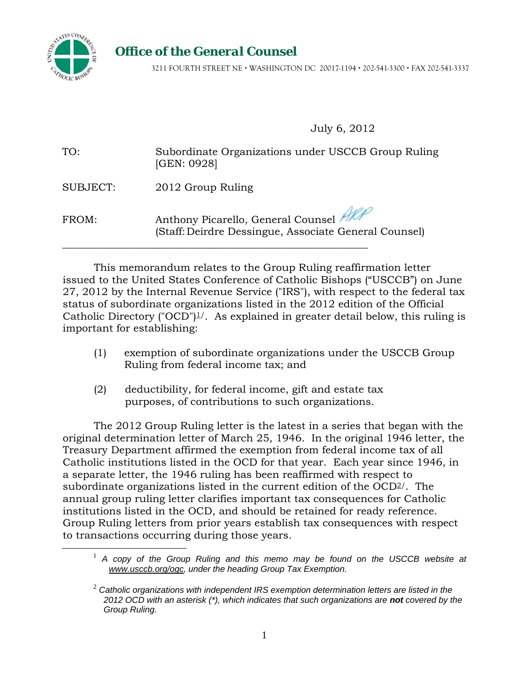

## *Office of the General Counsel*

3211 FOURTH STREET NE WASHINGTON DC 20017-1194 202-541-3300 FAX 202-541-3337

July 6, 2012

| TO:             | Subordinate Organizations under USCCB Group Ruling<br>[GEN: 0928]                                |
|-----------------|--------------------------------------------------------------------------------------------------|
| <b>SUBJECT:</b> | 2012 Group Ruling                                                                                |
| FROM:           | Anthony Picarello, General Counsel Alle<br>(Staff: Deirdre Dessingue, Associate General Counsel) |

This memorandum relates to the Group Ruling reaffirmation letter issued to the United States Conference of Catholic Bishops ("USCCB") on June 27, 2012 by the Internal Revenue Service ("IRS"), with respect to the federal tax status of subordinate organizations listed in the 2012 edition of the Official Catholic Directory ("OCD")<sup> $\perp$ </sup>. As explained in greater detail below, this ruling is important for establishing:

- (1) exemption of subordinate organizations under the USCCB Group Ruling from federal income tax; and
- (2) deductibility, for federal income, gift and estate tax purposes, of contributions to such organizations.

The 2012 Group Ruling letter is the latest in a series that began with the original determination letter of March 25, 1946. In the original 1946 letter, the Treasury Department affirmed the exemption from federal income tax of all Catholic institutions listed in the OCD for that year. Each year since 1946, in a separate letter, the 1946 ruling has been reaffirmed with respect to subordinate organizations listed in the current edition of the OCD2/. The annual group ruling letter clarifies important tax consequences for Catholic institutions listed in the OCD, and should be retained for ready reference. Group Ruling letters from prior years establish tax consequences with respect to transactions occurring during those years.

<sup>&</sup>lt;sup>1</sup> A copy of the Group Ruling and this memo may be found on the USCCB website at *www.usccb.org/ogc, under the heading Group Tax Exemption.* 

<sup>2</sup> *Catholic organizations with independent IRS exemption determination letters are listed in the 2012 OCD with an asterisk (\*), which indicates that such organizations are not covered by the Group Ruling.*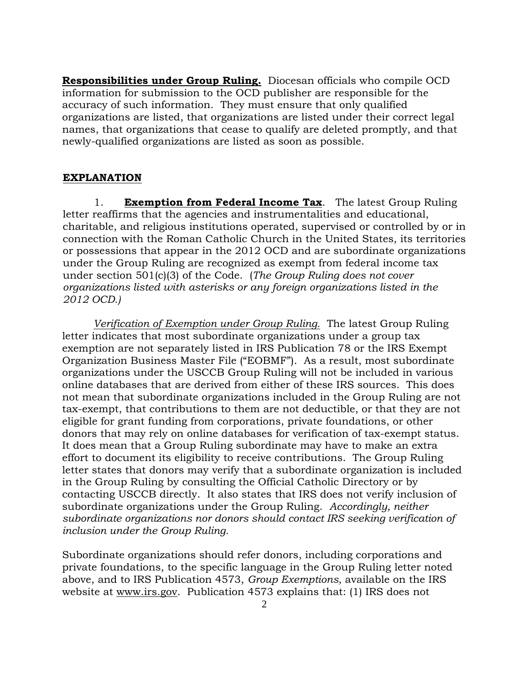**Responsibilities under Group Ruling.** Diocesan officials who compile OCD information for submission to the OCD publisher are responsible for the accuracy of such information. They must ensure that only qualified organizations are listed, that organizations are listed under their correct legal names, that organizations that cease to qualify are deleted promptly, and that newly-qualified organizations are listed as soon as possible.

## **EXPLANATION**

1. **Exemption from Federal Income Tax**. The latest Group Ruling letter reaffirms that the agencies and instrumentalities and educational, charitable, and religious institutions operated, supervised or controlled by or in connection with the Roman Catholic Church in the United States, its territories or possessions that appear in the 2012 OCD and are subordinate organizations under the Group Ruling are recognized as exempt from federal income tax under section 501(c)(3) of the Code. (*The Group Ruling does not cover organizations listed with asterisks or any foreign organizations listed in the 2012 OCD.)*

 *Verification of Exemption under Group Ruling.* The latest Group Ruling letter indicates that most subordinate organizations under a group tax exemption are not separately listed in IRS Publication 78 or the IRS Exempt Organization Business Master File ("EOBMF"). As a result, most subordinate organizations under the USCCB Group Ruling will not be included in various online databases that are derived from either of these IRS sources. This does not mean that subordinate organizations included in the Group Ruling are not tax-exempt, that contributions to them are not deductible, or that they are not eligible for grant funding from corporations, private foundations, or other donors that may rely on online databases for verification of tax-exempt status. It does mean that a Group Ruling subordinate may have to make an extra effort to document its eligibility to receive contributions. The Group Ruling letter states that donors may verify that a subordinate organization is included in the Group Ruling by consulting the Official Catholic Directory or by contacting USCCB directly. It also states that IRS does not verify inclusion of subordinate organizations under the Group Ruling. *Accordingly, neither subordinate organizations nor donors should contact IRS seeking verification of inclusion under the Group Ruling.* 

Subordinate organizations should refer donors, including corporations and private foundations, to the specific language in the Group Ruling letter noted above, and to IRS Publication 4573, *Group Exemptions*, available on the IRS website at www.irs.gov. Publication 4573 explains that: (1) IRS does not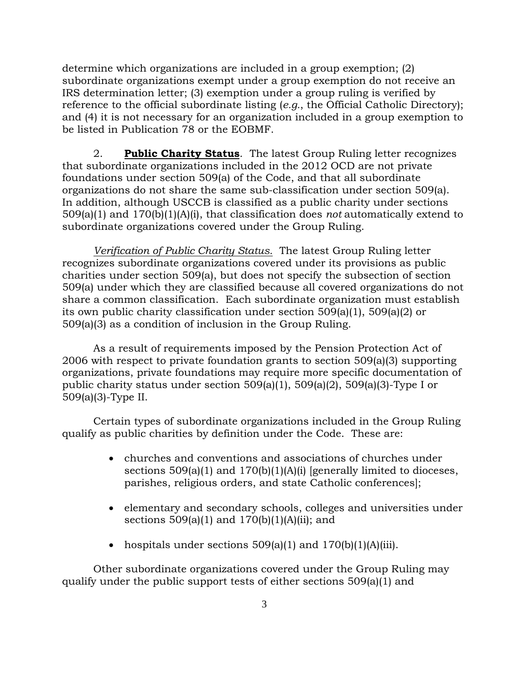determine which organizations are included in a group exemption; (2) subordinate organizations exempt under a group exemption do not receive an IRS determination letter; (3) exemption under a group ruling is verified by reference to the official subordinate listing (*e.g.*, the Official Catholic Directory); and (4) it is not necessary for an organization included in a group exemption to be listed in Publication 78 or the EOBMF.

2. **Public Charity Status**. The latest Group Ruling letter recognizes that subordinate organizations included in the 2012 OCD are not private foundations under section 509(a) of the Code, and that all subordinate organizations do not share the same sub-classification under section 509(a). In addition, although USCCB is classified as a public charity under sections 509(a)(1) and 170(b)(1)(A)(i), that classification does *not* automatically extend to subordinate organizations covered under the Group Ruling.

*Verification of Public Charity Status.* The latest Group Ruling letter recognizes subordinate organizations covered under its provisions as public charities under section 509(a), but does not specify the subsection of section 509(a) under which they are classified because all covered organizations do not share a common classification. Each subordinate organization must establish its own public charity classification under section 509(a)(1), 509(a)(2) or 509(a)(3) as a condition of inclusion in the Group Ruling.

As a result of requirements imposed by the Pension Protection Act of 2006 with respect to private foundation grants to section 509(a)(3) supporting organizations, private foundations may require more specific documentation of public charity status under section 509(a)(1), 509(a)(2), 509(a)(3)-Type I or 509(a)(3)-Type II.

Certain types of subordinate organizations included in the Group Ruling qualify as public charities by definition under the Code. These are:

- churches and conventions and associations of churches under sections 509(a)(1) and 170(b)(1)(A)(i) [generally limited to dioceses, parishes, religious orders, and state Catholic conferences];
- elementary and secondary schools, colleges and universities under sections  $509(a)(1)$  and  $170(b)(1)(A)(ii)$ ; and
- hospitals under sections  $509(a)(1)$  and  $170(b)(1)(A)(iii)$ .

Other subordinate organizations covered under the Group Ruling may qualify under the public support tests of either sections 509(a)(1) and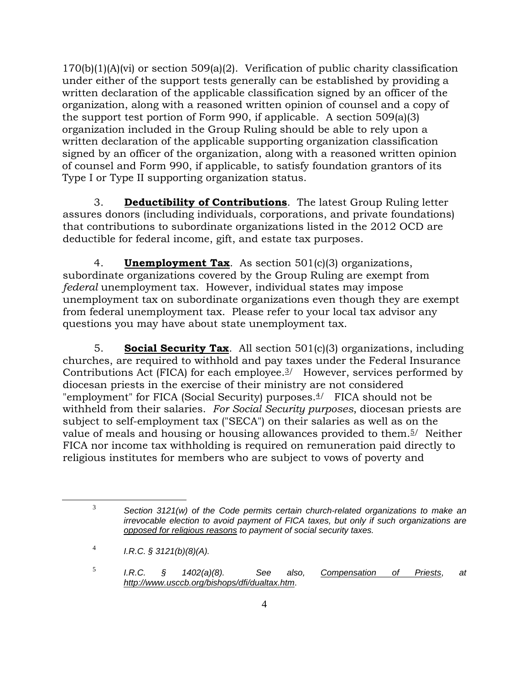170(b)(1)(A)(vi) or section 509(a)(2). Verification of public charity classification under either of the support tests generally can be established by providing a written declaration of the applicable classification signed by an officer of the organization, along with a reasoned written opinion of counsel and a copy of the support test portion of Form 990, if applicable. A section 509(a)(3) organization included in the Group Ruling should be able to rely upon a written declaration of the applicable supporting organization classification signed by an officer of the organization, along with a reasoned written opinion of counsel and Form 990, if applicable, to satisfy foundation grantors of its Type I or Type II supporting organization status.

3. **Deductibility of Contributions**. The latest Group Ruling letter assures donors (including individuals, corporations, and private foundations) that contributions to subordinate organizations listed in the 2012 OCD are deductible for federal income, gift, and estate tax purposes.

4. **Unemployment Tax**. As section 501(c)(3) organizations, subordinate organizations covered by the Group Ruling are exempt from *federal* unemployment tax. However, individual states may impose unemployment tax on subordinate organizations even though they are exempt from federal unemployment tax. Please refer to your local tax advisor any questions you may have about state unemployment tax.

5. **Social Security Tax**. All section 501(c)(3) organizations, including churches, are required to withhold and pay taxes under the Federal Insurance Contributions Act (FICA) for each employee. $3/$  However, services performed by diocesan priests in the exercise of their ministry are not considered "employment" for FICA (Social Security) purposes.<sup>4</sup>/ FICA should not be withheld from their salaries. *For Social Security purposes*, diocesan priests are subject to self-employment tax ("SECA") on their salaries as well as on the value of meals and housing or housing allowances provided to them.<sup>5</sup>/ Neither FICA nor income tax withholding is required on remuneration paid directly to religious institutes for members who are subject to vows of poverty and

 <sup>3</sup> *Section 3121(w) of the Code permits certain church-related organizations to make an irrevocable election to avoid payment of FICA taxes, but only if such organizations are opposed for religious reasons to payment of social security taxes.*

<sup>4</sup> *I.R.C. § 3121(b)(8)(A).*

<sup>5</sup> *I.R.C. § 1402(a)(8). See also, Compensation of Priests*, *at http://www.usccb.org/bishops/dfi/dualtax.htm*.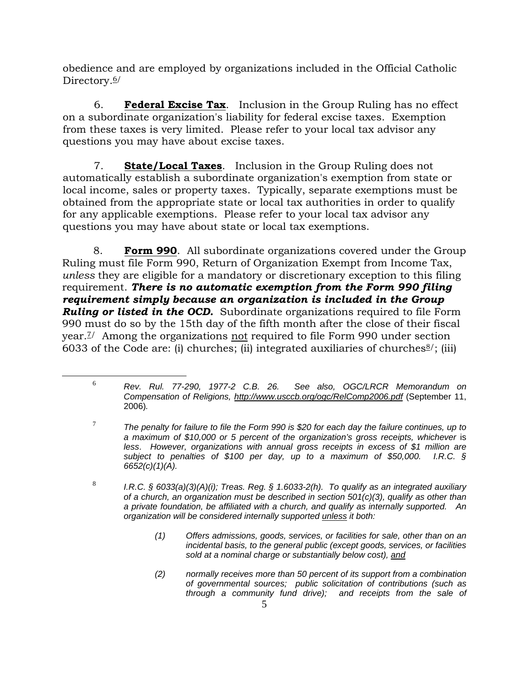obedience and are employed by organizations included in the Official Catholic Directory.<sup>6/</sup>

6. **Federal Excise Tax**. Inclusion in the Group Ruling has no effect on a subordinate organization's liability for federal excise taxes. Exemption from these taxes is very limited. Please refer to your local tax advisor any questions you may have about excise taxes.

7. **State/Local Taxes**. Inclusion in the Group Ruling does not automatically establish a subordinate organization's exemption from state or local income, sales or property taxes. Typically, separate exemptions must be obtained from the appropriate state or local tax authorities in order to qualify for any applicable exemptions. Please refer to your local tax advisor any questions you may have about state or local tax exemptions.

8. **Form 990**. All subordinate organizations covered under the Group Ruling must file Form 990, Return of Organization Exempt from Income Tax, *unless* they are eligible for a mandatory or discretionary exception to this filing requirement. *There is no automatic exemption from the Form 990 filing requirement simply because an organization is included in the Group Ruling or listed in the OCD.* Subordinate organizations required to file Form 990 must do so by the 15th day of the fifth month after the close of their fiscal year.7/ Among the organizations not required to file Form 990 under section 6033 of the Code are: (i) churches; (ii) integrated auxiliaries of churches  $\frac{8}{3}$ ; (iii)

- *(1) Offers admissions, goods, services, or facilities for sale, other than on an incidental basis, to the general public (except goods, services, or facilities sold at a nominal charge or substantially below cost), and*
- *(2) normally receives more than 50 percent of its support from a combination of governmental sources; public solicitation of contributions (such as through a community fund drive); and receipts from the sale of*

 <sup>6</sup> *Rev. Rul. 77-290, 1977-2 C.B. 26. See also, OGC/LRCR Memorandum on Compensation of Religions, http://www.usccb.org/ogc/RelComp2006.pdf* (September 11, 2006)*.*

<sup>7</sup> *The penalty for failure to file the Form 990 is \$20 for each day the failure continues, up to a maximum of \$10,000 or 5 percent of the organization's gross receipts, whichever is less*. *However, organizations with annual gross receipts in excess of \$1 million are subject to penalties of \$100 per day, up to a maximum of \$50,000. I.R.C. § 6652(c)(1)(A).* 

<sup>8</sup> *I.R.C. § 6033(a)(3)(A)(i); Treas. Reg. § 1.6033-2(h). To qualify as an integrated auxiliary of a church, an organization must be described in section 501(c)(3), qualify as other than a private foundation, be affiliated with a church, and qualify as internally supported. An organization will be considered internally supported unless it both:*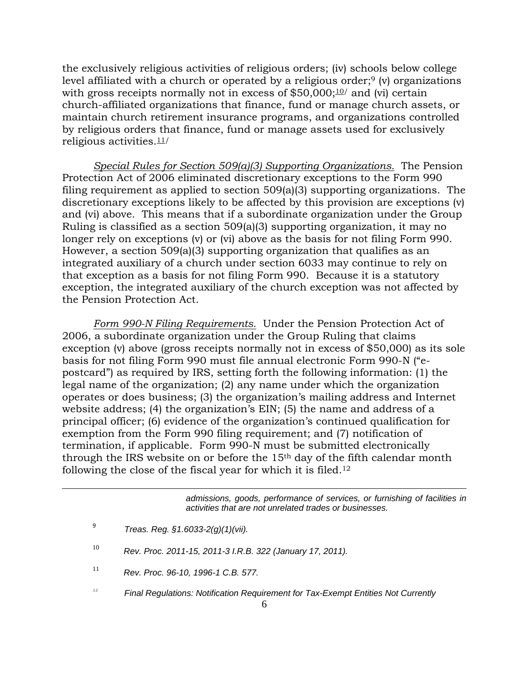the exclusively religious activities of religious orders; (iv) schools below college level affiliated with a church or operated by a religious order; $9$  (v) organizations with gross receipts normally not in excess of  $$50,000;10/$  and (vi) certain church-affiliated organizations that finance, fund or manage church assets, or maintain church retirement insurance programs, and organizations controlled by religious orders that finance, fund or manage assets used for exclusively religious activities.11/

*Special Rules for Section 509(a)(3) Supporting Organizations.* The Pension Protection Act of 2006 eliminated discretionary exceptions to the Form 990 filing requirement as applied to section 509(a)(3) supporting organizations. The discretionary exceptions likely to be affected by this provision are exceptions (v) and (vi) above. This means that if a subordinate organization under the Group Ruling is classified as a section 509(a)(3) supporting organization, it may no longer rely on exceptions (v) or (vi) above as the basis for not filing Form 990. However, a section 509(a)(3) supporting organization that qualifies as an integrated auxiliary of a church under section 6033 may continue to rely on that exception as a basis for not filing Form 990. Because it is a statutory exception, the integrated auxiliary of the church exception was not affected by the Pension Protection Act.

*Form 990-N Filing Requirements.* Under the Pension Protection Act of 2006, a subordinate organization under the Group Ruling that claims exception (v) above (gross receipts normally not in excess of \$50,000) as its sole basis for not filing Form 990 must file annual electronic Form 990-N ("epostcard") as required by IRS, setting forth the following information: (1) the legal name of the organization; (2) any name under which the organization operates or does business; (3) the organization's mailing address and Internet website address; (4) the organization's EIN; (5) the name and address of a principal officer; (6) evidence of the organization's continued qualification for exemption from the Form 990 filing requirement; and (7) notification of termination, if applicable. Form 990-N must be submitted electronically through the IRS website on or before the  $15<sup>th</sup>$  day of the fifth calendar month following the close of the fiscal year for which it is filed.12

> *admissions, goods, performance of services, or furnishing of facilities in activities that are not unrelated trades or businesses.*

 $\overline{a}$ 

- <sup>10</sup> *Rev. Proc. 2011-15, 2011-3 I.R.B. 322 (January 17, 2011).*
- <sup>11</sup> *Rev. Proc. 96-10, 1996-1 C.B. 577.*
- *12 Final Regulations: Notification Requirement for Tax-Exempt Entities Not Currently*

<sup>9</sup> *Treas. Reg. §1.6033-2(g)(1)(vii).*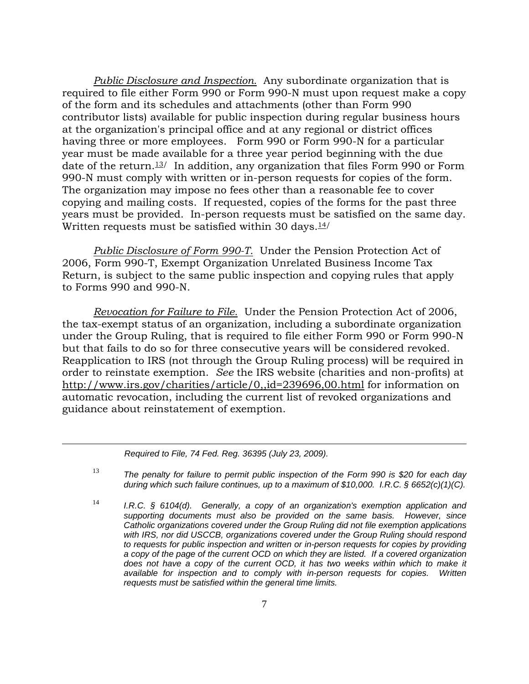*Public Disclosure and Inspection.* Any subordinate organization that is required to file either Form 990 or Form 990-N must upon request make a copy of the form and its schedules and attachments (other than Form 990 contributor lists) available for public inspection during regular business hours at the organization's principal office and at any regional or district offices having three or more employees. Form 990 or Form 990-N for a particular year must be made available for a three year period beginning with the due date of the return.<sup>13</sup>/ In addition, any organization that files Form 990 or Form 990-N must comply with written or in-person requests for copies of the form. The organization may impose no fees other than a reasonable fee to cover copying and mailing costs. If requested, copies of the forms for the past three years must be provided. In-person requests must be satisfied on the same day. Written requests must be satisfied within 30 days. $14/$ 

*Public Disclosure of Form 990-T.* Under the Pension Protection Act of 2006, Form 990-T, Exempt Organization Unrelated Business Income Tax Return, is subject to the same public inspection and copying rules that apply to Forms 990 and 990-N.

*Revocation for Failure to File.* Under the Pension Protection Act of 2006, the tax-exempt status of an organization, including a subordinate organization under the Group Ruling, that is required to file either Form 990 or Form 990-N but that fails to do so for three consecutive years will be considered revoked. Reapplication to IRS (not through the Group Ruling process) will be required in order to reinstate exemption. *See* the IRS website (charities and non-profits) at http://www.irs.gov/charities/article/0,,id=239696,00.html for information on automatic revocation, including the current list of revoked organizations and guidance about reinstatement of exemption.

*Required to File, 74 Fed. Reg. 36395 (July 23, 2009).* 

 $\overline{a}$ 

<sup>13</sup> *The penalty for failure to permit public inspection of the Form 990 is \$20 for each day during which such failure continues, up to a maximum of \$10,000. I.R.C. § 6652(c)(1)(C).*

<sup>14</sup> *I.R.C. § 6104(d). Generally, a copy of an organization's exemption application and supporting documents must also be provided on the same basis. However, since Catholic organizations covered under the Group Ruling did not file exemption applications*  with IRS, nor did USCCB, organizations covered under the Group Ruling should respond *to requests for public inspection and written or in-person requests for copies by providing a copy of the page of the current OCD on which they are listed. If a covered organization*  does not have a copy of the current OCD, it has two weeks within which to make it *available for inspection and to comply with in-person requests for copies. Written requests must be satisfied within the general time limits.*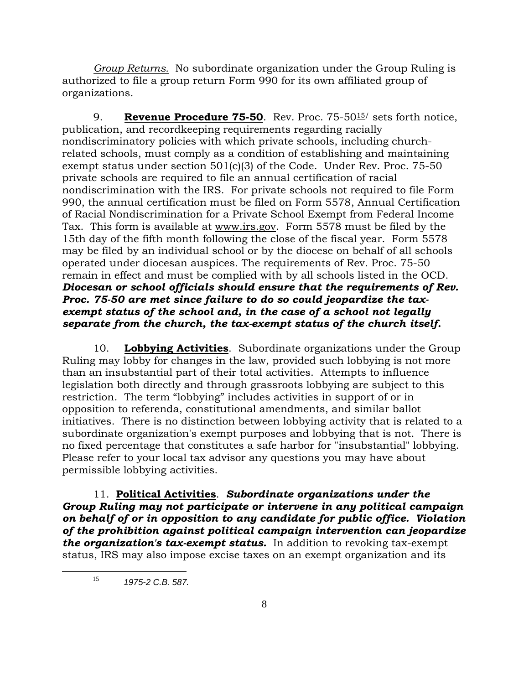*Group Returns.* No subordinate organization under the Group Ruling is authorized to file a group return Form 990 for its own affiliated group of organizations.

9. **Revenue Procedure 75-50**. Rev. Proc. 75-5015/ sets forth notice, publication, and recordkeeping requirements regarding racially nondiscriminatory policies with which private schools, including churchrelated schools, must comply as a condition of establishing and maintaining exempt status under section 501(c)(3) of the Code. Under Rev. Proc. 75-50 private schools are required to file an annual certification of racial nondiscrimination with the IRS. For private schools not required to file Form 990, the annual certification must be filed on Form 5578, Annual Certification of Racial Nondiscrimination for a Private School Exempt from Federal Income Tax. This form is available at www.irs.gov. Form 5578 must be filed by the 15th day of the fifth month following the close of the fiscal year. Form 5578 may be filed by an individual school or by the diocese on behalf of all schools operated under diocesan auspices. The requirements of Rev. Proc. 75-50 remain in effect and must be complied with by all schools listed in the OCD. *Diocesan or school officials should ensure that the requirements of Rev. Proc. 75-50 are met since failure to do so could jeopardize the taxexempt status of the school and, in the case of a school not legally separate from the church, the tax-exempt status of the church itself.* 

10. **Lobbying Activities**. Subordinate organizations under the Group Ruling may lobby for changes in the law, provided such lobbying is not more than an insubstantial part of their total activities. Attempts to influence legislation both directly and through grassroots lobbying are subject to this restriction. The term "lobbying" includes activities in support of or in opposition to referenda, constitutional amendments, and similar ballot initiatives. There is no distinction between lobbying activity that is related to a subordinate organization's exempt purposes and lobbying that is not. There is no fixed percentage that constitutes a safe harbor for "insubstantial" lobbying. Please refer to your local tax advisor any questions you may have about permissible lobbying activities.

11. **Political Activities**. *Subordinate organizations under the Group Ruling may not participate or intervene in any political campaign on behalf of or in opposition to any candidate for public office. Violation of the prohibition against political campaign intervention can jeopardize the organization's tax-exempt status.* In addition to revoking tax-exempt status, IRS may also impose excise taxes on an exempt organization and its

 <sup>15</sup> *1975-2 C.B. 587.*